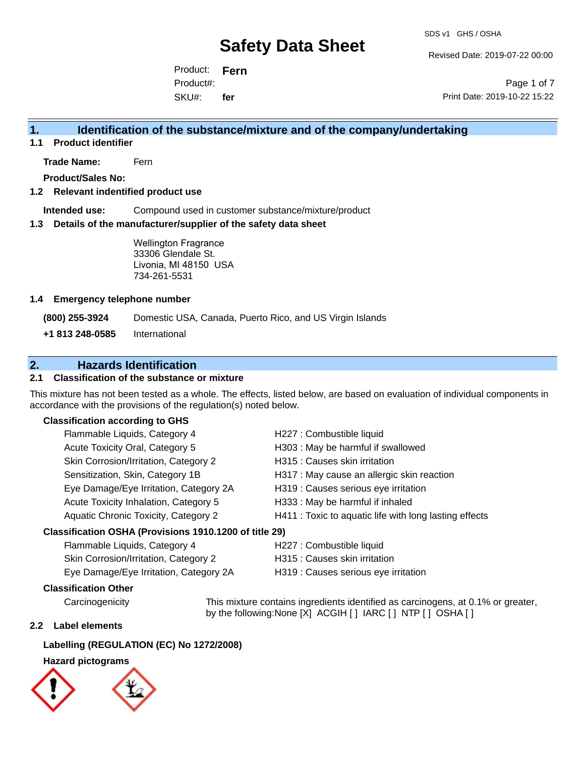Revised Date: 2019-07-22 00:00

Product: **Fern** SKU#: Product#: **fer**

Page 1 of 7 Print Date: 2019-10-22 15:22

### **1. Identification of the substance/mixture and of the company/undertaking**

**1.1 Product identifier**

**Trade Name:** Fern

**Product/Sales No:**

#### **1.2 Relevant indentified product use**

**Intended use:** Compound used in customer substance/mixture/product

#### **1.3 Details of the manufacturer/supplier of the safety data sheet**

Wellington Fragrance 33306 Glendale St. Livonia, MI 48150 USA 734-261-5531

#### **1.4 Emergency telephone number**

**(800) 255-3924** Domestic USA, Canada, Puerto Rico, and US Virgin Islands

**+1 813 248-0585** International

### **2. Hazards Identification**

#### **2.1 Classification of the substance or mixture**

This mixture has not been tested as a whole. The effects, listed below, are based on evaluation of individual components in accordance with the provisions of the regulation(s) noted below.

#### **Classification according to GHS**

| Flammable Liquids, Category 4                       | H227 : Combustible liquid                              |
|-----------------------------------------------------|--------------------------------------------------------|
| Acute Toxicity Oral, Category 5                     | H303 : May be harmful if swallowed                     |
| Skin Corrosion/Irritation, Category 2               | H315 : Causes skin irritation                          |
| Sensitization, Skin, Category 1B                    | H317 : May cause an allergic skin reaction             |
| Eye Damage/Eye Irritation, Category 2A              | H319 : Causes serious eye irritation                   |
| Acute Toxicity Inhalation, Category 5               | H333: May be harmful if inhaled                        |
| Aquatic Chronic Toxicity, Category 2                | H411 : Toxic to aquatic life with long lasting effects |
| ceification OSUA (Provisione 1010 1200 of title 20) |                                                        |

#### **Classification OSHA (Provisions 1910.1200 of title 29)**

| Flammable Liquids, Category 4          | H227 : Combustible liquid            |
|----------------------------------------|--------------------------------------|
| Skin Corrosion/Irritation, Category 2  | H315 : Causes skin irritation        |
| Eye Damage/Eye Irritation, Category 2A | H319 : Causes serious eye irritation |

#### **Classification Other**

Carcinogenicity This mixture contains ingredients identified as carcinogens, at 0.1% or greater, by the following:None [X] ACGIH [ ] IARC [ ] NTP [ ] OSHA [ ]

#### **2.2 Label elements**

#### **Labelling (REGULATION (EC) No 1272/2008)**

#### **Hazard pictograms**

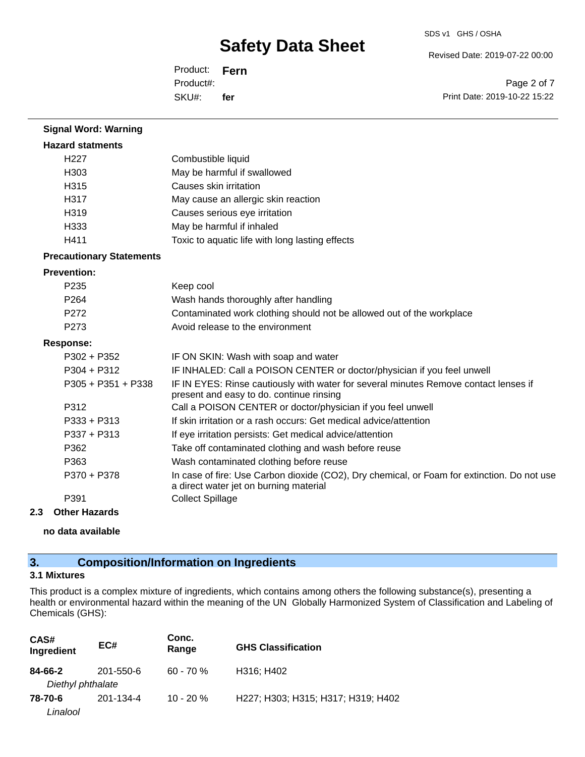Revised Date: 2019-07-22 00:00

Product: **Fern** SKU#: Product#: **fer**

Page 2 of 7 Print Date: 2019-10-22 15:22

| <b>Signal Word: Warning</b>     |                                                                                                                                       |
|---------------------------------|---------------------------------------------------------------------------------------------------------------------------------------|
| <b>Hazard statments</b>         |                                                                                                                                       |
| H <sub>227</sub>                | Combustible liquid                                                                                                                    |
| H303                            | May be harmful if swallowed                                                                                                           |
| H <sub>315</sub>                | Causes skin irritation                                                                                                                |
| H317                            | May cause an allergic skin reaction                                                                                                   |
| H319                            | Causes serious eye irritation                                                                                                         |
| H333                            | May be harmful if inhaled                                                                                                             |
| H411                            | Toxic to aquatic life with long lasting effects                                                                                       |
| <b>Precautionary Statements</b> |                                                                                                                                       |
| <b>Prevention:</b>              |                                                                                                                                       |
| P <sub>235</sub>                | Keep cool                                                                                                                             |
| P <sub>264</sub>                | Wash hands thoroughly after handling                                                                                                  |
| P272                            | Contaminated work clothing should not be allowed out of the workplace                                                                 |
| P273                            | Avoid release to the environment                                                                                                      |
| <b>Response:</b>                |                                                                                                                                       |
| $P302 + P352$                   | IF ON SKIN: Wash with soap and water                                                                                                  |
| $P304 + P312$                   | IF INHALED: Call a POISON CENTER or doctor/physician if you feel unwell                                                               |
| P305 + P351 + P338              | IF IN EYES: Rinse cautiously with water for several minutes Remove contact lenses if<br>present and easy to do. continue rinsing      |
| P312                            | Call a POISON CENTER or doctor/physician if you feel unwell                                                                           |
| P333 + P313                     | If skin irritation or a rash occurs: Get medical advice/attention                                                                     |
| $P337 + P313$                   | If eye irritation persists: Get medical advice/attention                                                                              |
| P362                            | Take off contaminated clothing and wash before reuse                                                                                  |
| P363                            | Wash contaminated clothing before reuse                                                                                               |
| P370 + P378                     | In case of fire: Use Carbon dioxide (CO2), Dry chemical, or Foam for extinction. Do not use<br>a direct water jet on burning material |
| P391                            | <b>Collect Spillage</b>                                                                                                               |

#### **2.3 Other Hazards**

**no data available**

## **3. Composition/Information on Ingredients**

### **3.1 Mixtures**

This product is a complex mixture of ingredients, which contains among others the following substance(s), presenting a health or environmental hazard within the meaning of the UN Globally Harmonized System of Classification and Labeling of Chemicals (GHS):

| CAS#<br>Ingredient           | EC#       | Conc.<br>Range | <b>GHS Classification</b>          |
|------------------------------|-----------|----------------|------------------------------------|
| 84-66-2<br>Diethyl phthalate | 201-550-6 | $60 - 70%$     | H316; H402                         |
| 78-70-6<br>Linalool          | 201-134-4 | $10 - 20%$     | H227; H303; H315; H317; H319; H402 |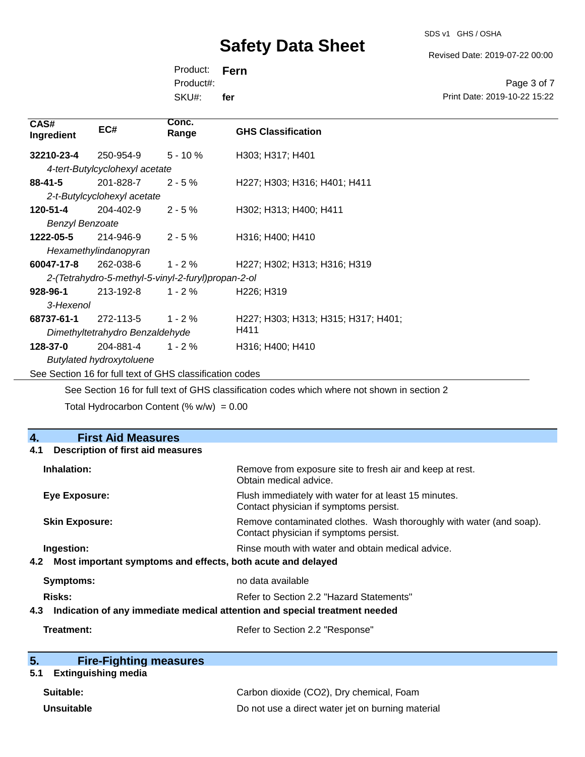SDS v1 GHS / OSHA

Revised Date: 2019-07-22 00:00

Product: **Fern** SKU#: Product#: **fer**

Page 3 of 7 Print Date: 2019-10-22 15:22

| CAS#<br>Ingredient                                 | EC#                                                      | Conc.<br>Range | <b>GHS Classification</b>                                                                    |
|----------------------------------------------------|----------------------------------------------------------|----------------|----------------------------------------------------------------------------------------------|
| 32210-23-4                                         | 250-954-9                                                | $5 - 10%$      | H303; H317; H401                                                                             |
|                                                    | 4-tert-Butylcyclohexyl acetate                           |                |                                                                                              |
| $88 - 41 - 5$                                      | 201-828-7                                                | $2 - 5%$       | H227; H303; H316; H401; H411                                                                 |
|                                                    | 2-t-Butylcyclohexyl acetate                              |                |                                                                                              |
| 120-51-4                                           | 204-402-9                                                | $2 - 5%$       | H302; H313; H400; H411                                                                       |
| <b>Benzyl Benzoate</b>                             |                                                          |                |                                                                                              |
| 1222-05-5                                          | 214-946-9                                                | $2 - 5%$       | H316; H400; H410                                                                             |
|                                                    | Hexamethylindanopyran                                    |                |                                                                                              |
| 60047-17-8                                         | 262-038-6                                                | $1 - 2 \%$     | H <sub>227</sub> ; H <sub>302</sub> ; H <sub>313</sub> ; H <sub>316</sub> ; H <sub>319</sub> |
| 2-(Tetrahydro-5-methyl-5-vinyl-2-furyl)propan-2-ol |                                                          |                |                                                                                              |
| 928-96-1                                           | 213-192-8                                                | $1 - 2\%$      | H <sub>226</sub> ; H <sub>319</sub>                                                          |
| 3-Hexenol                                          |                                                          |                |                                                                                              |
| 68737-61-1                                         | 272-113-5                                                | $1 - 2 \%$     | H227; H303; H313; H315; H317; H401;                                                          |
|                                                    | Dimethyltetrahydro Benzaldehyde                          |                | H411                                                                                         |
| 128-37-0                                           | 204-881-4                                                | $1 - 2 \%$     | H316; H400; H410                                                                             |
|                                                    | <b>Butylated hydroxytoluene</b>                          |                |                                                                                              |
|                                                    | See Section 16 for full text of GHS classification codes |                |                                                                                              |

See Section 16 for full text of GHS classification codes which where not shown in section 2

Total Hydrocarbon Content  $(\% w/w) = 0.00$ 

| 4.<br><b>First Aid Measures</b>                                                   |                                                                                                               |
|-----------------------------------------------------------------------------------|---------------------------------------------------------------------------------------------------------------|
| <b>Description of first aid measures</b><br>4.1                                   |                                                                                                               |
| Inhalation:                                                                       | Remove from exposure site to fresh air and keep at rest.<br>Obtain medical advice.                            |
| <b>Eye Exposure:</b>                                                              | Flush immediately with water for at least 15 minutes.<br>Contact physician if symptoms persist.               |
| <b>Skin Exposure:</b>                                                             | Remove contaminated clothes. Wash thoroughly with water (and soap).<br>Contact physician if symptoms persist. |
| Ingestion:                                                                        | Rinse mouth with water and obtain medical advice.                                                             |
| Most important symptoms and effects, both acute and delayed<br>4.2                |                                                                                                               |
| <b>Symptoms:</b>                                                                  | no data available                                                                                             |
| <b>Risks:</b>                                                                     | Refer to Section 2.2 "Hazard Statements"                                                                      |
| Indication of any immediate medical attention and special treatment needed<br>4.3 |                                                                                                               |
| Treatment:                                                                        | Refer to Section 2.2 "Response"                                                                               |

| 5. | <b>Fire-Fighting measures</b> |
|----|-------------------------------|
|    |                               |

# **5.1 Extinguishing media**

| Suitable:         | Carbon dioxide (CO2), Dry chemical, Foam          |
|-------------------|---------------------------------------------------|
| <b>Unsuitable</b> | Do not use a direct water jet on burning material |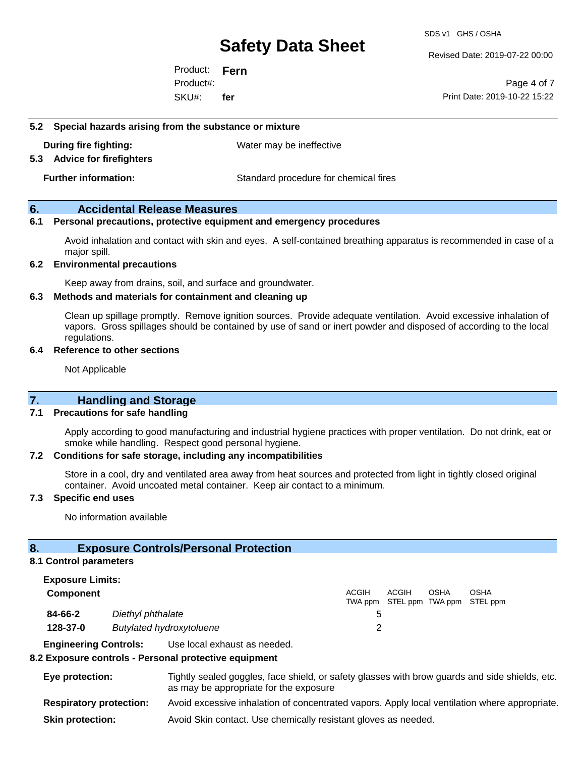SDS v1 GHS / OSHA

Revised Date: 2019-07-22 00:00

Product: **Fern** SKU#: Product#: **fer**

Page 4 of 7 Print Date: 2019-10-22 15:22

#### **5.2 Special hazards arising from the substance or mixture**

**During fire fighting:** Water may be ineffective

**5.3 Advice for firefighters**

**Further information:** Standard procedure for chemical fires

#### **6. Accidental Release Measures**

#### **6.1 Personal precautions, protective equipment and emergency procedures**

Avoid inhalation and contact with skin and eyes. A self-contained breathing apparatus is recommended in case of a major spill.

#### **6.2 Environmental precautions**

Keep away from drains, soil, and surface and groundwater.

#### **6.3 Methods and materials for containment and cleaning up**

Clean up spillage promptly. Remove ignition sources. Provide adequate ventilation. Avoid excessive inhalation of vapors. Gross spillages should be contained by use of sand or inert powder and disposed of according to the local regulations.

#### **6.4 Reference to other sections**

Not Applicable

#### **7. Handling and Storage**

#### **7.1 Precautions for safe handling**

Apply according to good manufacturing and industrial hygiene practices with proper ventilation. Do not drink, eat or smoke while handling. Respect good personal hygiene.

#### **7.2 Conditions for safe storage, including any incompatibilities**

Store in a cool, dry and ventilated area away from heat sources and protected from light in tightly closed original container. Avoid uncoated metal container. Keep air contact to a minimum.

#### **7.3 Specific end uses**

No information available

#### **8. Exposure Controls/Personal Protection**

#### **8.1 Control parameters**

| <b>Exposure Limits:</b> |                                 |              |       |      |                                           |
|-------------------------|---------------------------------|--------------|-------|------|-------------------------------------------|
| Component               |                                 | <b>ACGIH</b> | ACGIH | OSHA | OSHA<br>TWA ppm STEL ppm TWA ppm STEL ppm |
| 84-66-2                 | Diethyl phthalate               |              |       |      |                                           |
| 128-37-0                | <b>Butylated hydroxytoluene</b> |              |       |      |                                           |

**Engineering Controls:** Use local exhaust as needed.

#### **8.2 Exposure controls - Personal protective equipment**

- **Eye protection:** Tightly sealed goggles, face shield, or safety glasses with brow guards and side shields, etc. as may be appropriate for the exposure **Respiratory protection:** Avoid excessive inhalation of concentrated vapors. Apply local ventilation where appropriate.
- **Skin protection:** Avoid Skin contact. Use chemically resistant gloves as needed.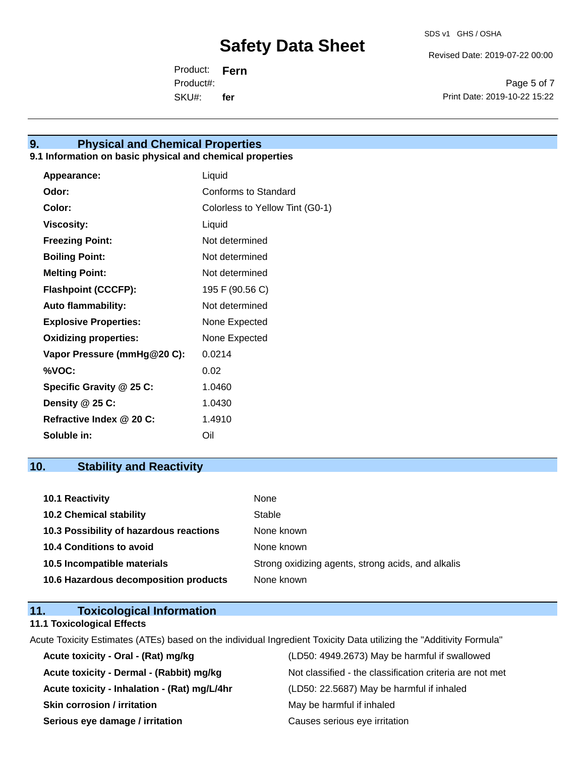Revised Date: 2019-07-22 00:00

Product: **Fern** SKU#: Product#: **fer**

Page 5 of 7 Print Date: 2019-10-22 15:22

### **9. Physical and Chemical Properties**

#### **9.1 Information on basic physical and chemical properties**

| <b>Appearance:</b>           | Liquid                          |
|------------------------------|---------------------------------|
| Odor:                        | Conforms to Standard            |
| Color:                       | Colorless to Yellow Tint (G0-1) |
| <b>Viscosity:</b>            | Liquid                          |
| <b>Freezing Point:</b>       | Not determined                  |
| <b>Boiling Point:</b>        | Not determined                  |
| <b>Melting Point:</b>        | Not determined                  |
| <b>Flashpoint (CCCFP):</b>   | 195 F (90.56 C)                 |
| <b>Auto flammability:</b>    | Not determined                  |
| <b>Explosive Properties:</b> | None Expected                   |
| <b>Oxidizing properties:</b> | None Expected                   |
| Vapor Pressure (mmHg@20 C):  | 0.0214                          |
| %VOC:                        | 0.02                            |
| Specific Gravity @ 25 C:     | 1.0460                          |
| Density @ 25 C:              | 1.0430                          |
| Refractive Index @ 20 C:     | 1.4910                          |
| Soluble in:                  | Oil                             |

### **10. Stability and Reactivity**

| 10.1 Reactivity                         | None                                               |
|-----------------------------------------|----------------------------------------------------|
| <b>10.2 Chemical stability</b>          | Stable                                             |
| 10.3 Possibility of hazardous reactions | None known                                         |
| <b>10.4 Conditions to avoid</b>         | None known                                         |
| 10.5 Incompatible materials             | Strong oxidizing agents, strong acids, and alkalis |
| 10.6 Hazardous decomposition products   | None known                                         |

## **11. Toxicological Information**

#### **11.1 Toxicological Effects**

Acute Toxicity Estimates (ATEs) based on the individual Ingredient Toxicity Data utilizing the "Additivity Formula"

**Acute toxicity - Oral - (Rat) mg/kg** (LD50: 4949.2673) May be harmful if swallowed **Acute toxicity - Inhalation - (Rat) mg/L/4hr** (LD50: 22.5687) May be harmful if inhaled **Skin corrosion / irritation** May be harmful if inhaled **Serious eye damage / irritation Causes serious eye irritation** 

Acute toxicity - Dermal - (Rabbit) mg/kg<br>Not classified - the classification criteria are not met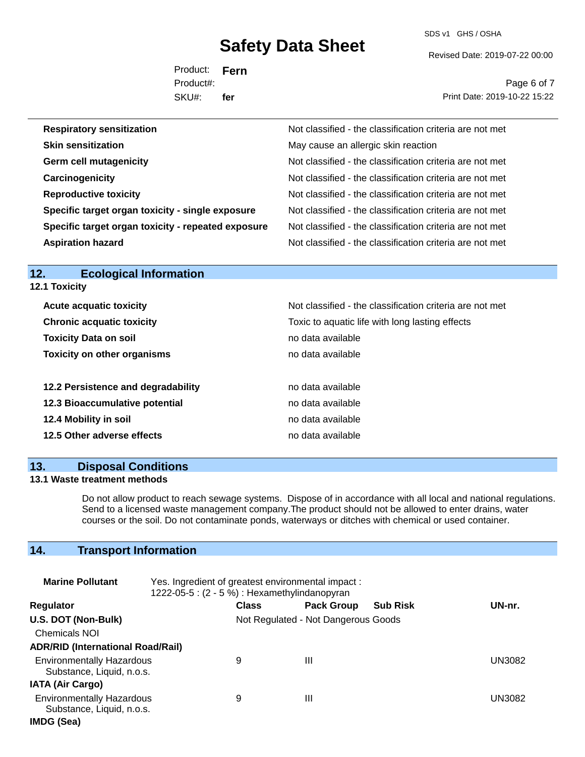SDS v1 GHS / OSHA

Revised Date: 2019-07-22 00:00

Product: **Fern** SKU#: Product#: **fer**

Page 6 of 7 Print Date: 2019-10-22 15:22

| <b>Respiratory sensitization</b>                   | Not classified - the classification criteria are not met |
|----------------------------------------------------|----------------------------------------------------------|
| <b>Skin sensitization</b>                          | May cause an allergic skin reaction                      |
| <b>Germ cell mutagenicity</b>                      | Not classified - the classification criteria are not met |
| Carcinogenicity                                    | Not classified - the classification criteria are not met |
| <b>Reproductive toxicity</b>                       | Not classified - the classification criteria are not met |
| Specific target organ toxicity - single exposure   | Not classified - the classification criteria are not met |
| Specific target organ toxicity - repeated exposure | Not classified - the classification criteria are not met |
| <b>Aspiration hazard</b>                           | Not classified - the classification criteria are not met |

#### **12. Ecological Information 12.1 Toxicity**

| <b>Acute acquatic toxicity</b>     | Not classified - the classification criteria are not met |
|------------------------------------|----------------------------------------------------------|
| <b>Chronic acquatic toxicity</b>   | Toxic to aquatic life with long lasting effects          |
| <b>Toxicity Data on soil</b>       | no data available                                        |
| <b>Toxicity on other organisms</b> | no data available                                        |
|                                    |                                                          |
| 12.2 Persistence and degradability | no data available                                        |
| 12.3 Bioaccumulative potential     | no data available                                        |
| 12.4 Mobility in soil              | no data available                                        |
| 12.5 Other adverse effects         | no data available                                        |

### **13. Disposal Conditions**

### **13.1 Waste treatment methods**

Do not allow product to reach sewage systems. Dispose of in accordance with all local and national regulations. Send to a licensed waste management company.The product should not be allowed to enter drains, water courses or the soil. Do not contaminate ponds, waterways or ditches with chemical or used container.

# **14. Transport Information**

| <b>Marine Pollutant</b>                                       | Yes. Ingredient of greatest environmental impact:<br>1222-05-5 : (2 - 5 %) : Hexamethylindanopyran |              |                                     |                 |        |
|---------------------------------------------------------------|----------------------------------------------------------------------------------------------------|--------------|-------------------------------------|-----------------|--------|
| <b>Regulator</b>                                              |                                                                                                    | <b>Class</b> | <b>Pack Group</b>                   | <b>Sub Risk</b> | UN-nr. |
| U.S. DOT (Non-Bulk)                                           |                                                                                                    |              | Not Regulated - Not Dangerous Goods |                 |        |
| <b>Chemicals NOI</b>                                          |                                                                                                    |              |                                     |                 |        |
| <b>ADR/RID (International Road/Rail)</b>                      |                                                                                                    |              |                                     |                 |        |
| <b>Environmentally Hazardous</b><br>Substance, Liquid, n.o.s. |                                                                                                    | 9            | Ш                                   |                 | UN3082 |
| <b>IATA (Air Cargo)</b>                                       |                                                                                                    |              |                                     |                 |        |
| <b>Environmentally Hazardous</b><br>Substance, Liquid, n.o.s. |                                                                                                    | 9            | Ш                                   |                 | UN3082 |
| IMDG (Sea)                                                    |                                                                                                    |              |                                     |                 |        |